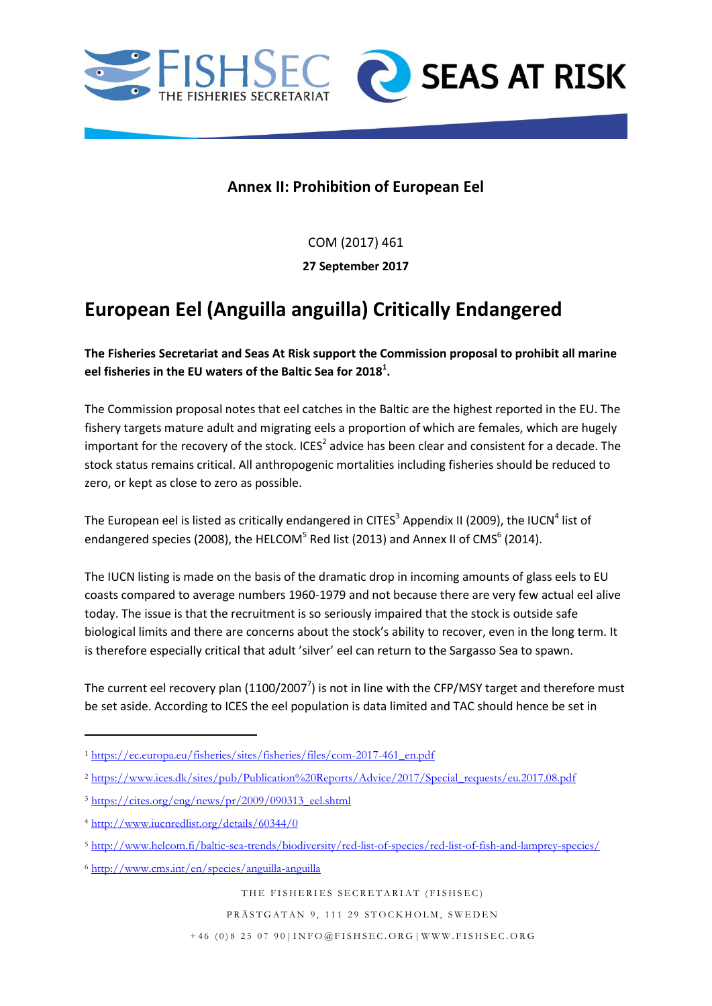



## **Annex II: Prohibition of European Eel**

COM (2017) 461

**27 September 2017**

## **European Eel (Anguilla anguilla) Critically Endangered**

## **The Fisheries Secretariat and Seas At Risk support the Commission proposal to prohibit all marine eel fisheries in the EU waters of the Baltic Sea for 2018<sup>1</sup> .**

The Commission proposal notes that eel catches in the Baltic are the highest reported in the EU. The fishery targets mature adult and migrating eels a proportion of which are females, which are hugely important for the recovery of the stock. ICES<sup>2</sup> advice has been clear and consistent for a decade. The stock status remains critical. All anthropogenic mortalities including fisheries should be reduced to zero, or kept as close to zero as possible.

The European eel is listed as critically endangered in CITES<sup>3</sup> Appendix II (2009), the IUCN<sup>4</sup> list of endangered species (2008), the HELCOM<sup>5</sup> Red list (2013) and Annex II of CMS<sup>6</sup> (2014).

The IUCN listing is made on the basis of the dramatic drop in incoming amounts of glass eels to EU coasts compared to average numbers 1960-1979 and not because there are very few actual eel alive today. The issue is that the recruitment is so seriously impaired that the stock is outside safe biological limits and there are concerns about the stock's ability to recover, even in the long term. It is therefore especially critical that adult 'silver' eel can return to the Sargasso Sea to spawn.

The current eel recovery plan (1100/2007<sup>7</sup>) is not in line with the CFP/MSY target and therefore must be set aside. According to ICES the eel population is data limited and TAC should hence be set in

**.** 

THE FISHERIES SECRETARIAT (FISHSEC)

PRÄSTGATAN 9, 111 29 STOCKHOLM, SWEDEN

<sup>1</sup> [https://ec.europa.eu/fisheries/sites/fisheries/files/com-2017-461\\_en.pdf](https://ec.europa.eu/fisheries/sites/fisheries/files/com-2017-461_en.pdf)

<sup>2</sup> [https://www.ices.dk/sites/pub/Publication%20Reports/Advice/2017/Special\\_requests/eu.2017.08.pdf](https://www.ices.dk/sites/pub/Publication%20Reports/Advice/2017/Special_requests/eu.2017.08.pdf)

<sup>3</sup> [https://cites.org/eng/news/pr/2009/090313\\_eel.shtml](https://cites.org/eng/news/pr/2009/090313_eel.shtml)

<sup>4</sup> <http://www.iucnredlist.org/details/60344/0>

<sup>5</sup> <http://www.helcom.fi/baltic-sea-trends/biodiversity/red-list-of-species/red-list-of-fish-and-lamprey-species/>

<sup>6</sup> <http://www.cms.int/en/species/anguilla-anguilla>